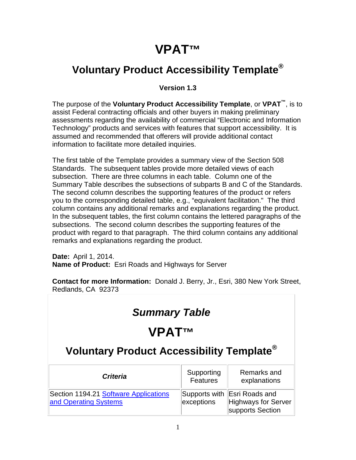# **VPAT™**

# <span id="page-0-0"></span>**Voluntary Product Accessibility Template®**

#### **Version 1.3**

The purpose of the **Voluntary Product Accessibility Template**, or **VPAT™**, is to assist Federal contracting officials and other buyers in making preliminary assessments regarding the availability of commercial "Electronic and Information Technology" products and services with features that support accessibility. It is assumed and recommended that offerers will provide additional contact information to facilitate more detailed inquiries.

The first table of the Template provides a summary view of the Section 508 Standards. The subsequent tables provide more detailed views of each subsection. There are three columns in each table. Column one of the Summary Table describes the subsections of subparts B and C of the Standards. The second column describes the supporting features of the product or refers you to the corresponding detailed table, e.g., "equivalent facilitation." The third column contains any additional remarks and explanations regarding the product. In the subsequent tables, the first column contains the lettered paragraphs of the subsections. The second column describes the supporting features of the product with regard to that paragraph. The third column contains any additional remarks and explanations regarding the product.

**Date:** April 1, 2014. **Name of Product:** Esri Roads and Highways for Server

**Contact for more Information:** Donald J. Berry, Jr., Esri, 380 New York Street, Redlands, CA 92373

# *Summary Table*

# **VPAT™**

| <b>Criteria</b>                                                | Supporting<br>Features | Remarks and<br>explanations                                             |
|----------------------------------------------------------------|------------------------|-------------------------------------------------------------------------|
| Section 1194.21 Software Applications<br>and Operating Systems | exceptions             | Supports with Esri Roads and<br>Highways for Server<br>supports Section |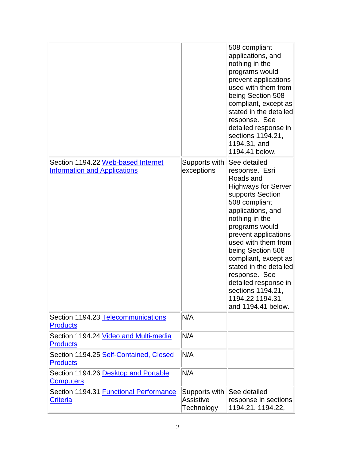|                                                                           |                                                 | 508 compliant<br>applications, and<br>nothing in the<br>programs would<br>prevent applications<br>used with them from<br>being Section 508<br>compliant, except as<br>stated in the detailed<br>response. See<br>detailed response in<br>sections 1194.21,<br>1194.31, and<br>1194.41 below.                                                                                                          |
|---------------------------------------------------------------------------|-------------------------------------------------|-------------------------------------------------------------------------------------------------------------------------------------------------------------------------------------------------------------------------------------------------------------------------------------------------------------------------------------------------------------------------------------------------------|
| Section 1194.22 Web-based Internet<br><b>Information and Applications</b> | Supports with<br>exceptions                     | See detailed<br>response. Esri<br>Roads and<br><b>Highways for Server</b><br>supports Section<br>508 compliant<br>applications, and<br>nothing in the<br>programs would<br>prevent applications<br>used with them from<br>being Section 508<br>compliant, except as<br>stated in the detailed<br>response. See<br>detailed response in<br>sections 1194.21,<br>1194.22 1194.31,<br>and 1194.41 below. |
| Section 1194.23 Telecommunications<br><b>Products</b>                     | N/A                                             |                                                                                                                                                                                                                                                                                                                                                                                                       |
| Section 1194.24 Video and Multi-media<br><b>Products</b>                  | N/A                                             |                                                                                                                                                                                                                                                                                                                                                                                                       |
| Section 1194.25 Self-Contained, Closed<br><b>Products</b>                 | N/A                                             |                                                                                                                                                                                                                                                                                                                                                                                                       |
| Section 1194.26 Desktop and Portable<br><b>Computers</b>                  | N/A                                             |                                                                                                                                                                                                                                                                                                                                                                                                       |
| Section 1194.31 Functional Performance<br><b>Criteria</b>                 | Supports with<br><b>Assistive</b><br>Technology | See detailed<br>response in sections<br>1194.21, 1194.22,                                                                                                                                                                                                                                                                                                                                             |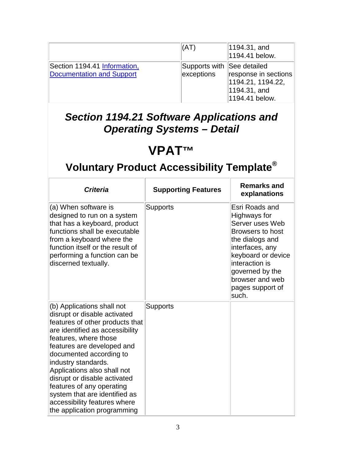|                                                           | $\mathsf{I}(\mathsf{AT})$                | $ 1194.31,$ and<br>1194.41 below.                                           |
|-----------------------------------------------------------|------------------------------------------|-----------------------------------------------------------------------------|
| Section 1194.41 Information,<br>Documentation and Support | Supports with See detailed<br>exceptions | response in sections<br>1194.21, 1194.22,<br>1194.31, and<br>1194.41 below. |

#### *Section 1194.21 Software Applications and Operating Systems – Detail*

# **VPAT™**

| <b>Criteria</b>                                                                                                                                                                                                                                                                                                                                                                                                                       | <b>Supporting Features</b> | <b>Remarks and</b><br>explanations                                                                                                                                                                                            |
|---------------------------------------------------------------------------------------------------------------------------------------------------------------------------------------------------------------------------------------------------------------------------------------------------------------------------------------------------------------------------------------------------------------------------------------|----------------------------|-------------------------------------------------------------------------------------------------------------------------------------------------------------------------------------------------------------------------------|
| (a) When software is<br>designed to run on a system<br>that has a keyboard, product<br>functions shall be executable<br>from a keyboard where the<br>function itself or the result of<br>performing a function can be<br>discerned textually.                                                                                                                                                                                         | <b>Supports</b>            | Esri Roads and<br>Highways for<br>Server uses Web<br><b>Browsers to host</b><br>the dialogs and<br>interfaces, any<br>keyboard or device<br>interaction is<br>governed by the<br>browser and web<br>pages support of<br>such. |
| (b) Applications shall not<br>disrupt or disable activated<br>features of other products that<br>are identified as accessibility<br>features, where those<br>features are developed and<br>documented according to<br>industry standards.<br>Applications also shall not<br>disrupt or disable activated<br>features of any operating<br>system that are identified as<br>accessibility features where<br>the application programming | <b>Supports</b>            |                                                                                                                                                                                                                               |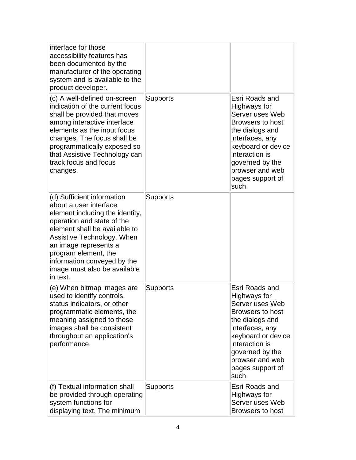| interface for those<br>accessibility features has<br>been documented by the<br>manufacturer of the operating<br>system and is available to the<br>product developer.                                                                                                                                             |                 |                                                                                                                                                                                                                                      |
|------------------------------------------------------------------------------------------------------------------------------------------------------------------------------------------------------------------------------------------------------------------------------------------------------------------|-----------------|--------------------------------------------------------------------------------------------------------------------------------------------------------------------------------------------------------------------------------------|
| (c) A well-defined on-screen<br>indication of the current focus<br>shall be provided that moves<br>among interactive interface<br>elements as the input focus<br>changes. The focus shall be<br>programmatically exposed so<br>that Assistive Technology can<br>track focus and focus<br>changes.                | <b>Supports</b> | Esri Roads and<br><b>Highways for</b><br>Server uses Web<br><b>Browsers to host</b><br>the dialogs and<br>interfaces, any<br>keyboard or device<br>interaction is<br>governed by the<br>browser and web<br>pages support of<br>such. |
| (d) Sufficient information<br>about a user interface<br>element including the identity,<br>operation and state of the<br>element shall be available to<br>Assistive Technology. When<br>an image represents a<br>program element, the<br>information conveyed by the<br>image must also be available<br>in text. | <b>Supports</b> |                                                                                                                                                                                                                                      |
| (e) When bitmap images are<br>used to identify controls,<br>status indicators, or other<br>programmatic elements, the<br>meaning assigned to those<br>images shall be consistent<br>throughout an application's<br>performance.                                                                                  | Supports        | Esri Roads and<br>Highways for<br>Server uses Web<br><b>Browsers to host</b><br>the dialogs and<br>interfaces, any<br>keyboard or device<br>interaction is<br>governed by the<br>browser and web<br>pages support of<br>such.        |
| (f) Textual information shall<br>be provided through operating<br>system functions for<br>displaying text. The minimum                                                                                                                                                                                           | <b>Supports</b> | Esri Roads and<br>Highways for<br>Server uses Web<br>Browsers to host                                                                                                                                                                |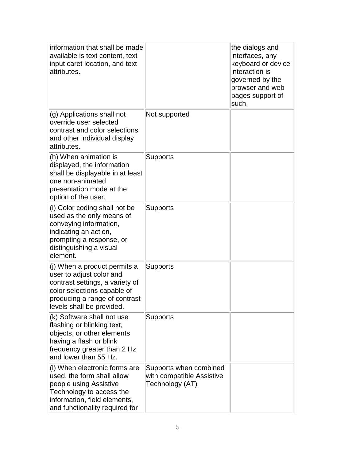| information that shall be made<br>available is text content, text<br>input caret location, and text<br>attributes.                                                                       |                                                                        | the dialogs and<br>interfaces, any<br>keyboard or device<br>interaction is<br>governed by the<br>browser and web<br>pages support of<br>such. |
|------------------------------------------------------------------------------------------------------------------------------------------------------------------------------------------|------------------------------------------------------------------------|-----------------------------------------------------------------------------------------------------------------------------------------------|
| (g) Applications shall not<br>override user selected<br>contrast and color selections<br>and other individual display<br>attributes.                                                     | Not supported                                                          |                                                                                                                                               |
| (h) When animation is<br>displayed, the information<br>shall be displayable in at least<br>one non-animated<br>presentation mode at the<br>option of the user.                           | <b>Supports</b>                                                        |                                                                                                                                               |
| (i) Color coding shall not be<br>used as the only means of<br>conveying information,<br>indicating an action,<br>prompting a response, or<br>distinguishing a visual<br>element.         | <b>Supports</b>                                                        |                                                                                                                                               |
| (j) When a product permits a<br>user to adjust color and<br>contrast settings, a variety of<br>color selections capable of<br>producing a range of contrast<br>levels shall be provided. | <b>Supports</b>                                                        |                                                                                                                                               |
| (k) Software shall not use<br>flashing or blinking text,<br>objects, or other elements<br>having a flash or blink<br>frequency greater than 2 Hz<br>and lower than 55 Hz.                | <b>Supports</b>                                                        |                                                                                                                                               |
| (I) When electronic forms are<br>used, the form shall allow<br>people using Assistive<br>Technology to access the<br>information, field elements,<br>and functionality required for      | Supports when combined<br>with compatible Assistive<br>Technology (AT) |                                                                                                                                               |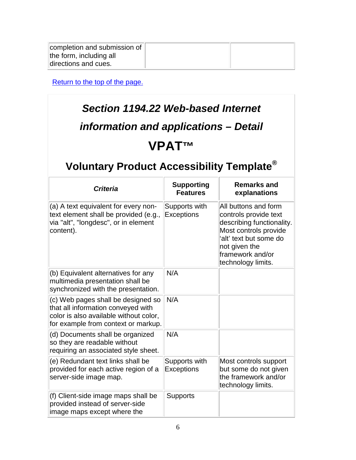| completion and submission of |  |
|------------------------------|--|
| the form, including all      |  |
| directions and cues.         |  |

[Return to the top of the page.](#page-0-0)

# <span id="page-5-0"></span>*Section 1194.22 Web-based Internet information and applications – Detail* **VPAT™**

| <b>Criteria</b>                                                                                                                                           | <b>Supporting</b><br><b>Features</b> | <b>Remarks and</b><br>explanations                                                                                                                                                       |
|-----------------------------------------------------------------------------------------------------------------------------------------------------------|--------------------------------------|------------------------------------------------------------------------------------------------------------------------------------------------------------------------------------------|
| (a) A text equivalent for every non-<br>text element shall be provided (e.g.,<br>via "alt", "longdesc", or in element<br>content).                        | Supports with<br><b>Exceptions</b>   | All buttons and form<br>controls provide text<br>describing functionality.<br>Most controls provide<br>'alt' text but some do<br>not given the<br>framework and/or<br>technology limits. |
| (b) Equivalent alternatives for any<br>multimedia presentation shall be<br>synchronized with the presentation.                                            | N/A                                  |                                                                                                                                                                                          |
| (c) Web pages shall be designed so<br>that all information conveyed with<br>color is also available without color,<br>for example from context or markup. | N/A                                  |                                                                                                                                                                                          |
| (d) Documents shall be organized<br>so they are readable without<br>requiring an associated style sheet.                                                  | N/A                                  |                                                                                                                                                                                          |
| (e) Redundant text links shall be<br>provided for each active region of a<br>server-side image map.                                                       | Supports with<br><b>Exceptions</b>   | Most controls support<br>but some do not given<br>the framework and/or<br>technology limits.                                                                                             |
| (f) Client-side image maps shall be<br>provided instead of server-side<br>image maps except where the                                                     | <b>Supports</b>                      |                                                                                                                                                                                          |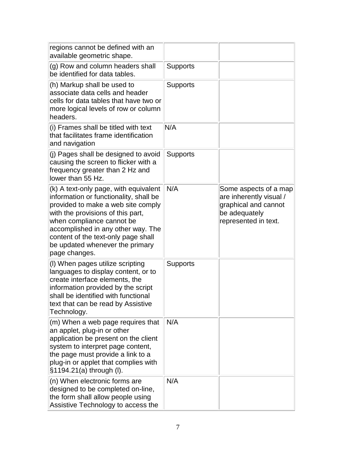| regions cannot be defined with an<br>available geometric shape.                                                                                                                                                                                                                                                          |                 |                                                                                                                   |
|--------------------------------------------------------------------------------------------------------------------------------------------------------------------------------------------------------------------------------------------------------------------------------------------------------------------------|-----------------|-------------------------------------------------------------------------------------------------------------------|
| (g) Row and column headers shall<br>be identified for data tables.                                                                                                                                                                                                                                                       | <b>Supports</b> |                                                                                                                   |
| (h) Markup shall be used to<br>associate data cells and header<br>cells for data tables that have two or<br>more logical levels of row or column<br>headers.                                                                                                                                                             | <b>Supports</b> |                                                                                                                   |
| (i) Frames shall be titled with text<br>that facilitates frame identification<br>and navigation                                                                                                                                                                                                                          | N/A             |                                                                                                                   |
| (j) Pages shall be designed to avoid<br>causing the screen to flicker with a<br>frequency greater than 2 Hz and<br>lower than 55 Hz.                                                                                                                                                                                     | <b>Supports</b> |                                                                                                                   |
| (k) A text-only page, with equivalent<br>information or functionality, shall be<br>provided to make a web site comply<br>with the provisions of this part,<br>when compliance cannot be<br>accomplished in any other way. The<br>content of the text-only page shall<br>be updated whenever the primary<br>page changes. | N/A             | Some aspects of a map<br>are inherently visual /<br>graphical and cannot<br>be adequately<br>represented in text. |
| (I) When pages utilize scripting<br>languages to display content, or to<br>create interface elements, the<br>information provided by the script<br>shall be identified with functional<br>text that can be read by Assistive<br>Technology.                                                                              | <b>Supports</b> |                                                                                                                   |
| (m) When a web page requires that<br>an applet, plug-in or other<br>application be present on the client<br>system to interpret page content,<br>the page must provide a link to a<br>plug-in or applet that complies with<br>§1194.21(a) through (I).                                                                   | N/A             |                                                                                                                   |
| (n) When electronic forms are<br>designed to be completed on-line,<br>the form shall allow people using<br>Assistive Technology to access the                                                                                                                                                                            | N/A             |                                                                                                                   |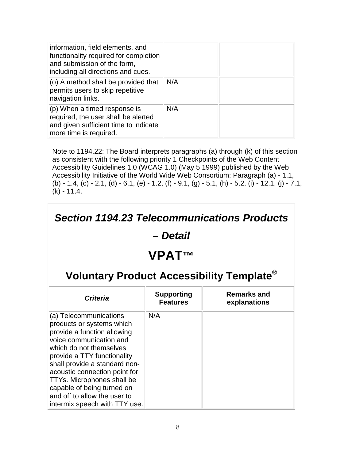| information, field elements, and<br>functionality required for completion<br>and submission of the form,<br>including all directions and cues. |     |  |
|------------------------------------------------------------------------------------------------------------------------------------------------|-----|--|
| (o) A method shall be provided that<br>permits users to skip repetitive<br>navigation links.                                                   | N/A |  |
| $(p)$ When a timed response is<br>required, the user shall be alerted<br>and given sufficient time to indicate<br>more time is required.       | N/A |  |

Note to 1194.22: The Board interprets paragraphs (a) through (k) of this section as consistent with the following priority 1 Checkpoints of the Web Content Accessibility Guidelines 1.0 (WCAG 1.0) (May 5 1999) published by the Web Accessibility Initiative of the World Wide Web Consortium: Paragraph (a) - 1.1, (b) - 1.4, (c) - 2.1, (d) - 6.1, (e) - 1.2, (f) - 9.1, (g) - 5.1, (h) - 5.2, (i) - 12.1, (j) - 7.1, (k) - 11.4.

#### *Section 1194.23 Telecommunications Products*

#### *– Detail*

#### **VPAT™**

| <b>Criteria</b>                                                                                                                                                                                                                                                                                                                                                               | <b>Supporting</b><br><b>Features</b> | <b>Remarks and</b><br>explanations |
|-------------------------------------------------------------------------------------------------------------------------------------------------------------------------------------------------------------------------------------------------------------------------------------------------------------------------------------------------------------------------------|--------------------------------------|------------------------------------|
| (a) Telecommunications<br>products or systems which<br>provide a function allowing<br>voice communication and<br>which do not themselves<br>provide a TTY functionality<br>shall provide a standard non-<br>acoustic connection point for<br><b>TTYs. Microphones shall be</b><br>capable of being turned on<br>and off to allow the user to<br>intermix speech with TTY use. | N/A                                  |                                    |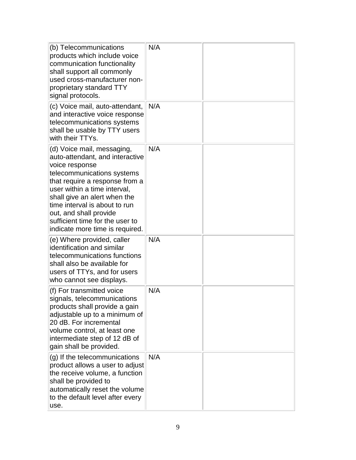| (b) Telecommunications<br>products which include voice<br>communication functionality<br>shall support all commonly<br>used cross-manufacturer non-<br>proprietary standard TTY<br>signal protocols.                                                                                                                                             | N/A |  |
|--------------------------------------------------------------------------------------------------------------------------------------------------------------------------------------------------------------------------------------------------------------------------------------------------------------------------------------------------|-----|--|
| (c) Voice mail, auto-attendant,<br>and interactive voice response<br>telecommunications systems<br>shall be usable by TTY users<br>with their TTYs.                                                                                                                                                                                              | N/A |  |
| (d) Voice mail, messaging,<br>auto-attendant, and interactive<br>voice response<br>telecommunications systems<br>that require a response from a<br>user within a time interval,<br>shall give an alert when the<br>time interval is about to run<br>out, and shall provide<br>sufficient time for the user to<br>indicate more time is required. | N/A |  |
| (e) Where provided, caller<br>identification and similar<br>telecommunications functions<br>shall also be available for<br>users of TTYs, and for users<br>who cannot see displays.                                                                                                                                                              | N/A |  |
| (f) For transmitted voice<br>signals, telecommunications<br>products shall provide a gain<br>adjustable up to a minimum of<br>20 dB. For incremental<br>volume control, at least one<br>intermediate step of 12 dB of<br>gain shall be provided.                                                                                                 | N/A |  |
| $(q)$ If the telecommunications<br>product allows a user to adjust<br>the receive volume, a function<br>shall be provided to<br>automatically reset the volume<br>to the default level after every<br>use.                                                                                                                                       | N/A |  |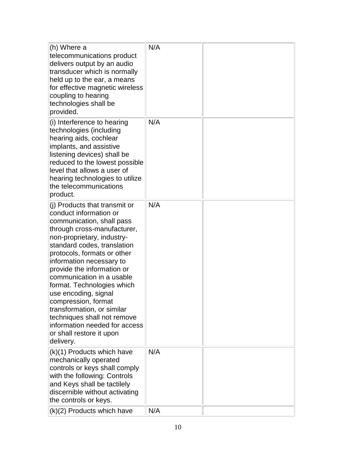| (h) Where a<br>telecommunications product<br>delivers output by an audio<br>transducer which is normally<br>held up to the ear, a means<br>for effective magnetic wireless<br>coupling to hearing<br>technologies shall be<br>provided.                                                                                                                                                                                                                                                                                    | N/A |  |
|----------------------------------------------------------------------------------------------------------------------------------------------------------------------------------------------------------------------------------------------------------------------------------------------------------------------------------------------------------------------------------------------------------------------------------------------------------------------------------------------------------------------------|-----|--|
| (i) Interference to hearing<br>technologies (including<br>hearing aids, cochlear<br>implants, and assistive<br>listening devices) shall be<br>reduced to the lowest possible<br>level that allows a user of<br>hearing technologies to utilize<br>the telecommunications<br>product.                                                                                                                                                                                                                                       | N/A |  |
| (j) Products that transmit or<br>conduct information or<br>communication, shall pass<br>through cross-manufacturer,<br>non-proprietary, industry-<br>standard codes, translation<br>protocols, formats or other<br>information necessary to<br>provide the information or<br>communication in a usable<br>format. Technologies which<br>use encoding, signal<br>compression, format<br>transformation, or similar<br>techniques shall not remove<br>information needed for access<br>or shall restore it upon<br>delivery. | N/A |  |
| (k)(1) Products which have<br>mechanically operated<br>controls or keys shall comply<br>with the following: Controls<br>and Keys shall be tactilely<br>discernible without activating<br>the controls or keys.                                                                                                                                                                                                                                                                                                             | N/A |  |
| (k)(2) Products which have                                                                                                                                                                                                                                                                                                                                                                                                                                                                                                 | N/A |  |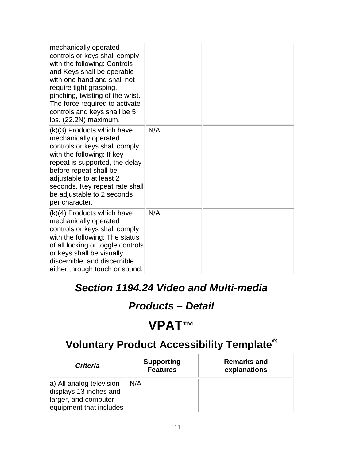| mechanically operated<br>controls or keys shall comply<br>with the following: Controls<br>and Keys shall be operable<br>with one hand and shall not<br>require tight grasping,<br>pinching, twisting of the wrist.<br>The force required to activate<br>controls and keys shall be 5<br>lbs. (22.2N) maximum. |     |  |
|---------------------------------------------------------------------------------------------------------------------------------------------------------------------------------------------------------------------------------------------------------------------------------------------------------------|-----|--|
| (k)(3) Products which have<br>mechanically operated<br>controls or keys shall comply<br>with the following: If key<br>repeat is supported, the delay<br>before repeat shall be<br>adjustable to at least 2<br>seconds. Key repeat rate shall<br>be adjustable to 2 seconds<br>per character.                  | N/A |  |
| (k)(4) Products which have<br>mechanically operated<br>controls or keys shall comply<br>with the following: The status<br>of all locking or toggle controls<br>or keys shall be visually<br>discernible, and discernible<br>either through touch or sound.                                                    | N/A |  |

## *Section 1194.24 Video and Multi-media*

#### *Products – Detail*

# **VPAT™**

| <b>Criteria</b>                                                                                       | <b>Supporting</b><br><b>Features</b> | <b>Remarks and</b><br>explanations |
|-------------------------------------------------------------------------------------------------------|--------------------------------------|------------------------------------|
| a) All analog television<br>displays 13 inches and<br>larger, and computer<br>equipment that includes | N/A                                  |                                    |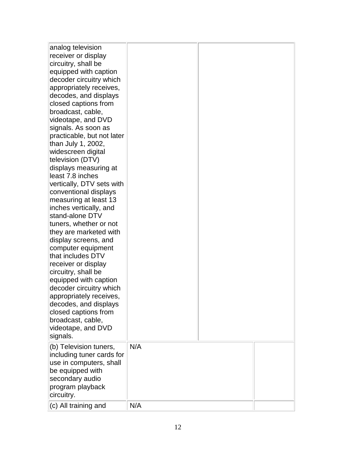| analog television<br>receiver or display<br>circuitry, shall be<br>equipped with caption<br>decoder circuitry which<br>appropriately receives,<br>decodes, and displays<br>closed captions from<br>broadcast, cable,<br>videotape, and DVD<br>signals. As soon as<br>practicable, but not later<br>than July 1, 2002,<br>widescreen digital<br>television (DTV)<br>displays measuring at<br>least 7.8 inches<br>vertically, DTV sets with<br>conventional displays<br>measuring at least 13<br>inches vertically, and<br>stand-alone DTV<br>tuners, whether or not<br>they are marketed with<br>display screens, and<br>computer equipment<br>that includes DTV<br>receiver or display<br>circuitry, shall be<br>equipped with caption<br>decoder circuitry which<br>appropriately receives,<br>decodes, and displays<br>closed captions from<br>broadcast, cable,<br>videotape, and DVD<br>signals. |     |  |
|------------------------------------------------------------------------------------------------------------------------------------------------------------------------------------------------------------------------------------------------------------------------------------------------------------------------------------------------------------------------------------------------------------------------------------------------------------------------------------------------------------------------------------------------------------------------------------------------------------------------------------------------------------------------------------------------------------------------------------------------------------------------------------------------------------------------------------------------------------------------------------------------------|-----|--|
| (b) Television tuners,<br>including tuner cards for<br>use in computers, shall<br>be equipped with<br>secondary audio<br>program playback<br>circuitry.                                                                                                                                                                                                                                                                                                                                                                                                                                                                                                                                                                                                                                                                                                                                              | N/A |  |
| (c) All training and                                                                                                                                                                                                                                                                                                                                                                                                                                                                                                                                                                                                                                                                                                                                                                                                                                                                                 | N/A |  |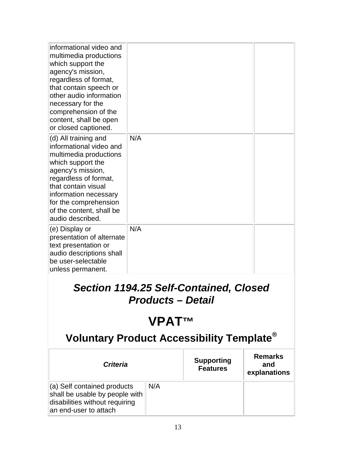| informational video and<br>multimedia productions<br>which support the<br>agency's mission,<br>regardless of format,<br>that contain speech or<br>other audio information<br>necessary for the<br>comprehension of the<br>content, shall be open<br>or closed captioned. |     |  |
|--------------------------------------------------------------------------------------------------------------------------------------------------------------------------------------------------------------------------------------------------------------------------|-----|--|
| (d) All training and<br>informational video and<br>multimedia productions<br>which support the<br>agency's mission,<br>regardless of format,<br>that contain visual<br>information necessary<br>for the comprehension<br>of the content, shall be<br>audio described.    | N/A |  |
| (e) Display or<br>presentation of alternate<br>text presentation or<br>audio descriptions shall<br>be user-selectable<br>unless permanent.                                                                                                                               | N/A |  |

#### *Section 1194.25 Self-Contained, Closed Products – Detail*

# **VPAT™**

| <b>Criteria</b>                                                                                                          |     | <b>Supporting</b><br><b>Features</b> | <b>Remarks</b><br>and<br>explanations |
|--------------------------------------------------------------------------------------------------------------------------|-----|--------------------------------------|---------------------------------------|
| (a) Self contained products<br>shall be usable by people with<br>disabilities without requiring<br>an end-user to attach | N/A |                                      |                                       |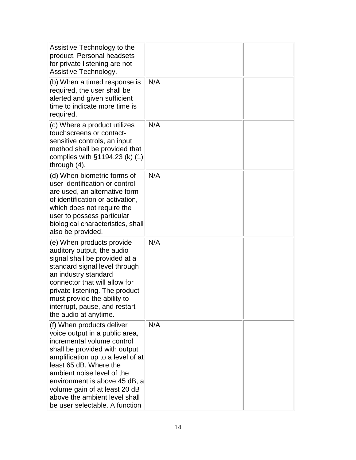| Assistive Technology to the<br>product. Personal headsets<br>for private listening are not<br>Assistive Technology.                                                                                                                                                                                                                                          |     |  |
|--------------------------------------------------------------------------------------------------------------------------------------------------------------------------------------------------------------------------------------------------------------------------------------------------------------------------------------------------------------|-----|--|
| (b) When a timed response is<br>required, the user shall be<br>alerted and given sufficient<br>time to indicate more time is<br>required.                                                                                                                                                                                                                    | N/A |  |
| (c) Where a product utilizes<br>touchscreens or contact-<br>sensitive controls, an input<br>method shall be provided that<br>complies with $\S1194.23$ (k) (1)<br>through $(4)$ .                                                                                                                                                                            | N/A |  |
| (d) When biometric forms of<br>user identification or control<br>are used, an alternative form<br>of identification or activation,<br>which does not require the<br>user to possess particular<br>biological characteristics, shall<br>also be provided.                                                                                                     | N/A |  |
| (e) When products provide<br>auditory output, the audio<br>signal shall be provided at a<br>standard signal level through<br>an industry standard<br>connector that will allow for<br>private listening. The product<br>must provide the ability to<br>interrupt, pause, and restart<br>the audio at anytime.                                                | N/A |  |
| (f) When products deliver<br>voice output in a public area,<br>incremental volume control<br>shall be provided with output<br>amplification up to a level of at<br>least 65 dB. Where the<br>ambient noise level of the<br>environment is above 45 dB, a<br>volume gain of at least 20 dB<br>above the ambient level shall<br>be user selectable. A function | N/A |  |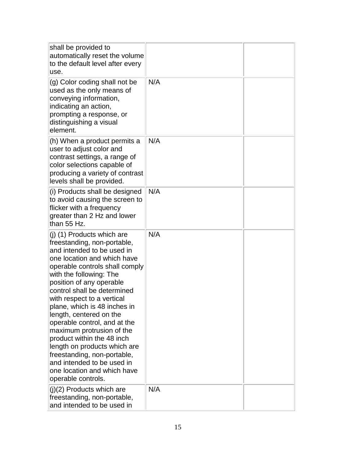| shall be provided to<br>automatically reset the volume<br>to the default level after every<br>use.                                                                                                                                                                                                                                                                                                                                                                                                                                                                                   |     |  |
|--------------------------------------------------------------------------------------------------------------------------------------------------------------------------------------------------------------------------------------------------------------------------------------------------------------------------------------------------------------------------------------------------------------------------------------------------------------------------------------------------------------------------------------------------------------------------------------|-----|--|
| (g) Color coding shall not be<br>used as the only means of<br>conveying information,<br>indicating an action,<br>prompting a response, or<br>distinguishing a visual<br>element.                                                                                                                                                                                                                                                                                                                                                                                                     | N/A |  |
| (h) When a product permits a<br>user to adjust color and<br>contrast settings, a range of<br>color selections capable of<br>producing a variety of contrast<br>levels shall be provided.                                                                                                                                                                                                                                                                                                                                                                                             | N/A |  |
| (i) Products shall be designed<br>to avoid causing the screen to<br>flicker with a frequency<br>greater than 2 Hz and lower<br>than 55 Hz.                                                                                                                                                                                                                                                                                                                                                                                                                                           | N/A |  |
| (j) (1) Products which are<br>freestanding, non-portable,<br>and intended to be used in<br>one location and which have<br>operable controls shall comply<br>with the following: The<br>position of any operable<br>control shall be determined<br>with respect to a vertical<br>plane, which is 48 inches in<br>length, centered on the<br>operable control, and at the<br>maximum protrusion of the<br>product within the 48 inch<br>length on products which are<br>freestanding, non-portable,<br>and intended to be used in<br>one location and which have<br>operable controls. | N/A |  |
| $(j)(2)$ Products which are<br>freestanding, non-portable,<br>and intended to be used in                                                                                                                                                                                                                                                                                                                                                                                                                                                                                             | N/A |  |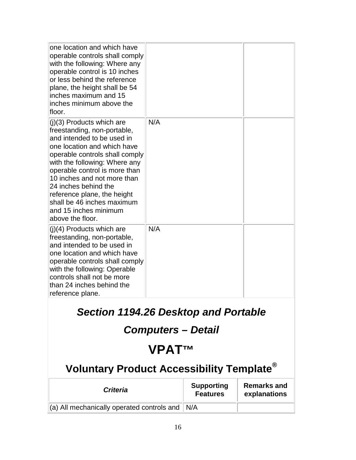| one location and which have<br>operable controls shall comply<br>with the following: Where any<br>operable control is 10 inches<br>or less behind the reference<br>plane, the height shall be 54<br>inches maximum and 15<br>inches minimum above the<br>floor.                                                                                                                              |     |  |
|----------------------------------------------------------------------------------------------------------------------------------------------------------------------------------------------------------------------------------------------------------------------------------------------------------------------------------------------------------------------------------------------|-----|--|
| $(j)(3)$ Products which are<br>freestanding, non-portable,<br>and intended to be used in<br>one location and which have<br>operable controls shall comply<br>with the following: Where any<br>operable control is more than<br>10 inches and not more than<br>24 inches behind the<br>reference plane, the height<br>shall be 46 inches maximum<br>and 15 inches minimum<br>above the floor. | N/A |  |
| $(j)(4)$ Products which are<br>freestanding, non-portable,<br>and intended to be used in<br>one location and which have<br>operable controls shall comply<br>with the following: Operable<br>controls shall not be more<br>than 24 inches behind the<br>reference plane.                                                                                                                     | N/A |  |

*Section 1194.26 Desktop and Portable* 

#### *Computers – Detail*

## **VPAT™**

| <b>Criteria</b>                                                        | <b>Supporting</b><br><b>Features</b> | <b>Remarks and</b><br>explanations |
|------------------------------------------------------------------------|--------------------------------------|------------------------------------|
| $\parallel$ (a) All mechanically operated controls and $\parallel$ N/A |                                      |                                    |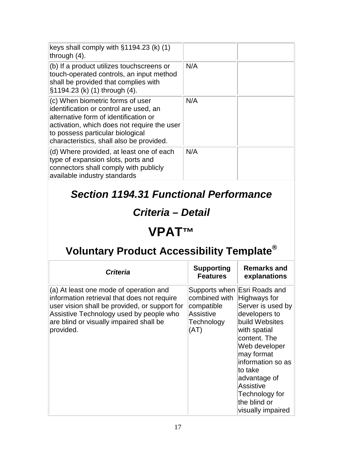| keys shall comply with $\S1194.23$ (k) (1)<br>through $(4)$ .                                                                                                                                                                                              |     |  |
|------------------------------------------------------------------------------------------------------------------------------------------------------------------------------------------------------------------------------------------------------------|-----|--|
| $ $ (b) If a product utilizes touchscreens or<br>touch-operated controls, an input method<br>shall be provided that complies with<br>§1194.23 (k) (1) through (4).                                                                                         | N/A |  |
| $\vert$ (c) When biometric forms of user<br>identification or control are used, an<br>alternative form of identification or<br>activation, which does not require the user<br>to possess particular biological<br>characteristics, shall also be provided. | N/A |  |
| (d) Where provided, at least one of each<br>type of expansion slots, ports and<br>connectors shall comply with publicly<br>available industry standards                                                                                                    | N/A |  |

## *Section 1194.31 Functional Performance*

#### *Criteria – Detail*

# **VPAT™**

| <b>Criteria</b>                                                                                                                                                                                                                           | <b>Supporting</b><br><b>Features</b>                                  | <b>Remarks and</b><br>explanations                                                                                                                                                                                                                                                              |
|-------------------------------------------------------------------------------------------------------------------------------------------------------------------------------------------------------------------------------------------|-----------------------------------------------------------------------|-------------------------------------------------------------------------------------------------------------------------------------------------------------------------------------------------------------------------------------------------------------------------------------------------|
| (a) At least one mode of operation and<br>information retrieval that does not require<br>user vision shall be provided, or support for<br>Assistive Technology used by people who<br>are blind or visually impaired shall be<br>provided. | combined with<br>compatible<br><b>Assistive</b><br>Technology<br>(AT) | Supports when Esri Roads and<br>Highways for<br>Server is used by<br>developers to<br>build Websites<br>with spatial<br>content. The<br>Web developer<br>may format<br>information so as<br>lto take<br>advantage of<br><b>Assistive</b><br>Technology for<br>the blind or<br>visually impaired |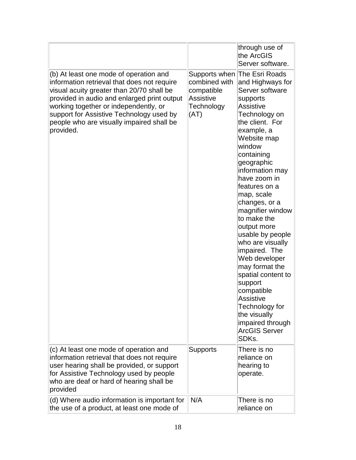|                                                                                                                                                                                                                                                                                                                                  |                                                                                        | through use of<br>the ArcGIS<br>Server software.                                                                                                                                                                                                                                                                                                                                                                                                                                                                                                                                                     |
|----------------------------------------------------------------------------------------------------------------------------------------------------------------------------------------------------------------------------------------------------------------------------------------------------------------------------------|----------------------------------------------------------------------------------------|------------------------------------------------------------------------------------------------------------------------------------------------------------------------------------------------------------------------------------------------------------------------------------------------------------------------------------------------------------------------------------------------------------------------------------------------------------------------------------------------------------------------------------------------------------------------------------------------------|
| (b) At least one mode of operation and<br>information retrieval that does not require<br>visual acuity greater than 20/70 shall be<br>provided in audio and enlarged print output<br>working together or independently, or<br>support for Assistive Technology used by<br>people who are visually impaired shall be<br>provided. | Supports when<br>combined with<br>compatible<br><b>Assistive</b><br>Technology<br>(AT) | The Esri Roads<br>and Highways for<br>Server software<br>supports<br><b>Assistive</b><br>Technology on<br>the client. For<br>example, a<br>Website map<br>window<br>containing<br>geographic<br>information may<br>have zoom in<br>features on a<br>map, scale<br>changes, or a<br>magnifier window<br>to make the<br>output more<br>usable by people<br>who are visually<br>impaired. The<br>Web developer<br>may format the<br>spatial content to<br>support<br>compatible<br><b>Assistive</b><br>Technology for<br>the visually<br>impaired through<br><b>ArcGIS Server</b><br>SDK <sub>s</sub> . |
| (c) At least one mode of operation and<br>information retrieval that does not require<br>user hearing shall be provided, or support<br>for Assistive Technology used by people<br>who are deaf or hard of hearing shall be<br>provided                                                                                           | <b>Supports</b>                                                                        | There is no<br>reliance on<br>hearing to<br>operate.                                                                                                                                                                                                                                                                                                                                                                                                                                                                                                                                                 |
| (d) Where audio information is important for<br>the use of a product, at least one mode of                                                                                                                                                                                                                                       | N/A                                                                                    | There is no<br>reliance on                                                                                                                                                                                                                                                                                                                                                                                                                                                                                                                                                                           |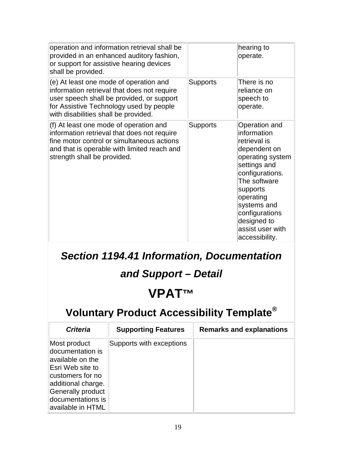| operation and information retrieval shall be<br>provided in an enhanced auditory fashion,<br>or support for assistive hearing devices<br>shall be provided.                                                           |                 | hearing to<br>operate.                                                                                                                                                                                                                             |
|-----------------------------------------------------------------------------------------------------------------------------------------------------------------------------------------------------------------------|-----------------|----------------------------------------------------------------------------------------------------------------------------------------------------------------------------------------------------------------------------------------------------|
| (e) At least one mode of operation and<br>information retrieval that does not require<br>user speech shall be provided, or support<br>for Assistive Technology used by people<br>with disabilities shall be provided. | <b>Supports</b> | There is no<br>reliance on<br>speech to<br>operate.                                                                                                                                                                                                |
| (f) At least one mode of operation and<br>information retrieval that does not require<br>fine motor control or simultaneous actions<br>and that is operable with limited reach and<br>strength shall be provided.     | <b>Supports</b> | Operation and<br>information<br>retrieval is<br>dependent on<br>operating system<br>settings and<br>configurations.<br>The software<br>supports<br>operating<br>systems and<br>configurations<br>designed to<br>assist user with<br>accessibility. |

# *Section 1194.41 Information, Documentation*

## *and Support – Detail*

# **VPAT™**

| <b>Criteria</b>                                                                                                                                                                   | <b>Supporting Features</b> | <b>Remarks and explanations</b> |
|-----------------------------------------------------------------------------------------------------------------------------------------------------------------------------------|----------------------------|---------------------------------|
| Most product<br>documentation is<br>available on the<br>Esri Web site to<br>customers for no<br>additional charge.<br>Generally product<br>documentations is<br>available in HTML | Supports with exceptions   |                                 |